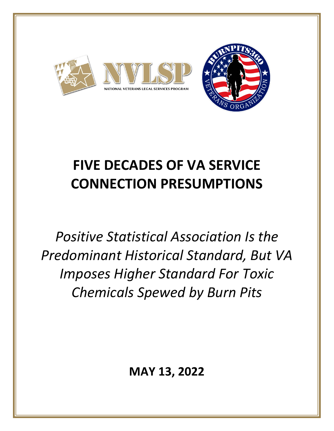

# **FIVE DECADES OF VA SERVICE CONNECTION PRESUMPTIONS**

*Positive Statistical Association Is the Predominant Historical Standard, But VA Imposes Higher Standard For Toxic Chemicals Spewed by Burn Pits*

**MAY 13, 2022**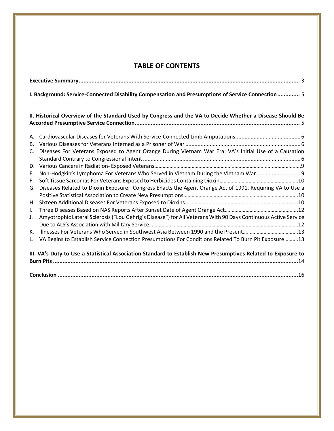## **TABLE OF CONTENTS**

| I. Background: Service-Connected Disability Compensation and Presumptions of Service Connection  5            |                                                                                                                |
|---------------------------------------------------------------------------------------------------------------|----------------------------------------------------------------------------------------------------------------|
| II. Historical Overview of the Standard Used by Congress and the VA to Decide Whether a Disease Should Be     |                                                                                                                |
| А.                                                                                                            |                                                                                                                |
| В.                                                                                                            |                                                                                                                |
| C.                                                                                                            | Diseases For Veterans Exposed to Agent Orange During Vietnam War Era: VA's Initial Use of a Causation          |
|                                                                                                               |                                                                                                                |
| D.                                                                                                            |                                                                                                                |
| Ε.                                                                                                            | Non-Hodgkin's Lymphoma For Veterans Who Served in Vietnam During the Vietnam War                               |
| F.                                                                                                            |                                                                                                                |
| G.                                                                                                            | Diseases Related to Dioxin Exposure: Congress Enacts the Agent Orange Act of 1991, Requiring VA to Use a       |
| Η.                                                                                                            |                                                                                                                |
| I.                                                                                                            |                                                                                                                |
| J.                                                                                                            | Amyotrophic Lateral Sclerosis ("Lou Gehrig's Disease") for All Veterans With 90 Days Continuous Active Service |
|                                                                                                               |                                                                                                                |
| К.                                                                                                            |                                                                                                                |
| L.                                                                                                            | VA Begins to Establish Service Connection Presumptions For Conditions Related To Burn Pit Exposure13           |
| III. VA's Duty to Use a Statistical Association Standard to Establish New Presumptives Related to Exposure to |                                                                                                                |
|                                                                                                               |                                                                                                                |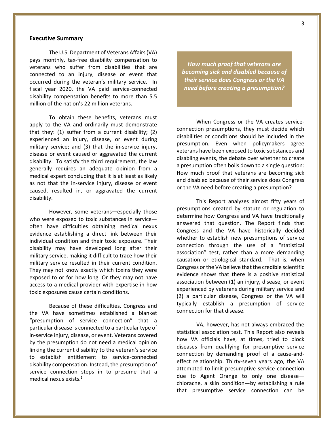#### **Executive Summary**

The U.S. Department of Veterans Affairs (VA) pays monthly, tax-free disability compensation to veterans who suffer from disabilities that are connected to an injury, disease or event that occurred during the veteran's military service. In fiscal year 2020, the VA paid service-connected disability compensation benefits to more than 5.5 million of the nation's 22 million veterans.

To obtain these benefits, veterans must apply to the VA and ordinarily must demonstrate that they: (1) suffer from a current disability; (2) experienced an injury, disease, or event during military service; and (3) that the in-service injury, disease or event caused or aggravated the current disability. To satisfy the third requirement, the law generally requires an adequate opinion from a medical expert concluding that it is at least as likely as not that the in-service injury, disease or event caused, resulted in, or aggravated the current disability.

However, some veterans—especially those who were exposed to toxic substances in service often have difficulties obtaining medical nexus evidence establishing a direct link between their individual condition and their toxic exposure. Their disability may have developed long after their military service, making it difficult to trace how their military service resulted in their current condition. They may not know exactly which toxins they were exposed to or for how long. Or they may not have access to a medical provider with expertise in how toxic exposures cause certain conditions.

Because of these difficulties, Congress and the VA have sometimes established a blanket "presumption of service connection" that a particular disease is connected to a particular type of in-service injury, disease, or event. Veterans covered by the presumption do not need a medical opinion linking the current disability to the veteran's service to establish entitlement to service-connected disability compensation. Instead, the presumption of service connection steps in to presume that a medical nexus exists. $1$ 

*How much proof that veterans are becoming sick and disabled because of their service does Congress or the VA need before creating a presumption?*

When Congress or the VA creates serviceconnection presumptions, they must decide which disabilities or conditions should be included in the presumption. Even when policymakers agree veterans have been exposed to toxic substances and disabling events, the debate over whether to create a presumption often boils down to a single question: How much proof that veterans are becoming sick and disabled because of their service does Congress or the VA need before creating a presumption?

This Report analyzes almost fifty years of presumptions created by statute or regulation to determine how Congress and VA have traditionally answered that question. The Report finds that Congress and the VA have historically decided whether to establish new presumptions of service connection through the use of a "statistical association" test, rather than a more demanding causation or etiological standard. That is, when Congress or the VA believe that the credible scientific evidence shows that there is a positive statistical association between (1) an injury, disease, or event experienced by veterans during military service and (2) a particular disease, Congress or the VA will typically establish a presumption of service connection for that disease.

VA, however, has not always embraced the statistical association test. This Report also reveals how VA officials have, at times, tried to block diseases from qualifying for presumptive service connection by demanding proof of a cause-andeffect relationship. Thirty-seven years ago, the VA attempted to limit presumptive service connection due to Agent Orange to only one disease chloracne, a skin condition—by establishing a rule that presumptive service connection can be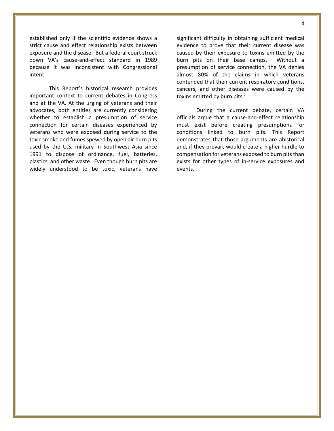established only if the scientific evidence shows a strict cause and effect relationship exists between exposure and the disease. But a federal court struck down VA's cause-and-effect standard in 1989 because it was inconsistent with Congressional intent.

This Report's historical research provides important context to current debates in Congress and at the VA. At the urging of veterans and their advocates, both entities are currently considering whether to establish a presumption of service connection for certain diseases experienced by veterans who were exposed during service to the toxic smoke and fumes spewed by open air burn pits used by the U.S. military in Southwest Asia since 1991 to dispose of ordinance, fuel, batteries, plastics, and other waste. Even though burn pits are widely understood to be toxic, veterans have significant difficulty in obtaining sufficient medical evidence to prove that their current disease was caused by their exposure to toxins emitted by the burn pits on their base camps. Without a presumption of service connection, the VA denies almost 80% of the claims in which veterans contended that their current respiratory conditions, cancers, and other diseases were caused by the toxins emitted by burn pits. $2$ 

During the current debate, certain VA officials argue that a cause-and-effect relationship must exist before creating presumptions for conditions linked to burn pits. This Report demonstrates that those arguments are ahistorical and, if they prevail, would create a higher hurdle to compensation for veterans exposed to burn pits than exists for other types of in-service exposures and events.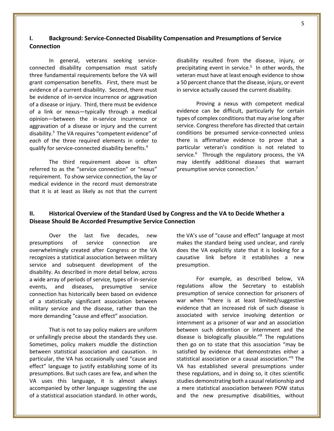#### **I. Background: Service-Connected Disability Compensation and Presumptions of Service Connection**

In general, veterans seeking serviceconnected disability compensation must satisfy three fundamental requirements before the VA will grant compensation benefits. First, there must be evidence of a current disability. Second, there must be evidence of in-service incurrence or aggravation of a disease or injury. Third, there must be evidence of a link or nexus—typically through a medical opinion—between the in-service incurrence or aggravation of a disease or injury and the current disability.<sup>3</sup> The VA requires "competent evidence" of *each* of the three required elements in order to qualify for service-connected disability benefits.<sup>4</sup>

The third requirement above is often referred to as the "service connection" or "nexus" requirement. To show service connection, the lay or medical evidence in the record must demonstrate that it is at least as likely as not that the current

disability resulted from the disease, injury, or precipitating event in service.<sup>5</sup> In other words, the veteran must have at least enough evidence to show a 50 percent chance that the disease, injury, or event in service actually caused the current disability.

Proving a nexus with competent medical evidence can be difficult, particularly for certain types of complex conditions that may arise long after service. Congress therefore has directed that certain conditions be presumed service-connected unless there is affirmative evidence to prove that a particular veteran's condition is not related to service.<sup>6</sup> Through the regulatory process, the VA may identify additional diseases that warrant presumptive service connection.<sup>7</sup>

#### **II. Historical Overview of the Standard Used by Congress and the VA to Decide Whether a Disease Should Be Accorded Presumptive Service Connection**

Over the last five decades, new presumptions of service connection are overwhelmingly created after Congress or the VA recognizes a statistical association between military service and subsequent development of the disability. As described in more detail below, across a wide array of periods of service, types of in-service events, and diseases, presumptive service connection has historically been based on evidence of a statistically significant association between military service and the disease, rather than the more demanding "cause and effect" association.

That is not to say policy makers are uniform or unfailingly precise about the standards they use. Sometimes, policy makers muddle the distinction between statistical association and causation. In particular, the VA has occasionally used "cause and effect" language to justify establishing some of its presumptions. But such cases are few, and when the VA uses this language, it is almost always accompanied by other language suggesting the use of a statistical association standard. In other words,

the VA's use of "cause and effect" language at most makes the standard being used unclear, and rarely does the VA explicitly state that it is looking for a causative link before it establishes a new presumption.

For example, as described below, VA regulations allow the Secretary to establish presumption of service connection for prisoners of war when "there is at least limited/suggestive evidence that an increased risk of such disease is associated with service involving detention or internment as a prisoner of war and an association between such detention or internment and the disease is biologically plausible."8 The regulations then go on to state that this association "may be satisfied by evidence that demonstrates either a statistical association or a causal association."<sup>9</sup> The VA has established several presumptions under these regulations, and in doing so, it cites scientific studies demonstrating both a causal relationship and a mere statistical association between POW status and the new presumptive disabilities, without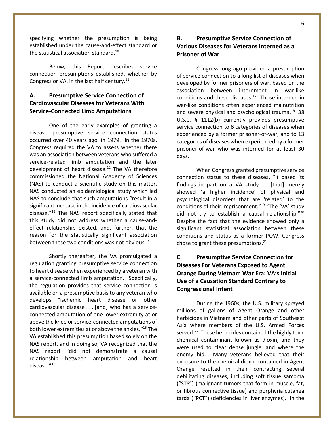specifying whether the presumption is being established under the cause-and-effect standard or the statistical association standard.<sup>10</sup>

Below, this Report describes service connection presumptions established, whether by Congress or VA, in the last half century.<sup>11</sup>

## **A. Presumptive Service Connection of Cardiovascular Diseases for Veterans With Service-Connected Limb Amputations**

One of the early examples of granting a disease presumptive service connection status occurred over 40 years ago, in 1979. In the 1970s, Congress required the VA to assess whether there was an association between veterans who suffered a service-related limb amputation and the later development of heart disease.<sup>12</sup> The VA therefore commissioned the National Academy of Sciences (NAS) to conduct a scientific study on this matter. NAS conducted an epidemiological study which led NAS to conclude that such amputations "result in a significant increase in the incidence of cardiovascular disease."13 The NAS report specifically stated that this study did not address whether a cause-andeffect relationship existed, and, further, that the reason for the statistically significant association between these two conditions was not obvious.<sup>14</sup>

Shortly thereafter, the VA promulgated a regulation granting presumptive service connection to heart disease when experienced by a veteran with a service-connected limb amputation. Specifically, the regulation provides that service connection is available on a presumptive basis to any veteran who develops "ischemic heart disease or other cardiovascular disease . . . [and] who has a serviceconnected amputation of one lower extremity at or above the knee or service-connected amputations of both lower extremities at or above the ankles."15 The VA established this presumption based solely on the NAS report, and in doing so, VA recognized that the NAS report "did not demonstrate a causal relationship between amputation and heart disease."16

### **B. Presumptive Service Connection of Various Diseases for Veterans Interned as a Prisoner of War**

Congress long ago provided a presumption of service connection to a long list of diseases when developed by former prisoners of war, based on the association between internment in war-like conditions and these diseases. $17$  Those interned in war-like conditions often experienced malnutrition and severe physical and psychological trauma. $18$  38 U.S.C. § 1112(b) currently provides presumptive service connection to 6 categories of diseases when experienced by a former prisoner-of-war, and to 13 categories of diseases when experienced by a former prisoner-of-war who was interned for at least 30 days.

When Congress granted presumptive service connection status to these diseases, "it based its findings in part on a VA study ... [that] merely showed 'a higher incidence' of physical and psychological disorders that are 'related' to the conditions of their imprisonment."<sup>19</sup> "The [VA] study did not try to establish a causal relationship."20 Despite the fact that the evidence showed only a significant statistical association between these conditions and status as a former POW, Congress chose to grant these presumptions. $^{21}$ 

## **C. Presumptive Service Connection for Diseases For Veterans Exposed to Agent Orange During Vietnam War Era: VA's Initial Use of a Causation Standard Contrary to Congressional Intent**

During the 1960s, the U.S. military sprayed millions of gallons of Agent Orange and other herbicides in Vietnam and other parts of Southeast Asia where members of the U.S. Armed Forces served. $^{22}$  These herbicides contained the highly toxic chemical contaminant known as dioxin, and they were used to clear dense jungle land where the enemy hid. Many veterans believed that their exposure to the chemical dioxin contained in Agent Orange resulted in their contracting several debilitating diseases, including soft tissue sarcoma ("STS") (malignant tumors that form in muscle, fat, or fibrous connective tissue) and porphyria cutanea tarda ("PCT") (deficiencies in liver enzymes). In the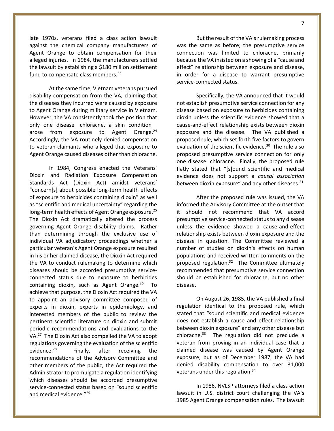late 1970s, veterans filed a class action lawsuit against the chemical company manufacturers of Agent Orange to obtain compensation for their alleged injuries. In 1984, the manufacturers settled the lawsuit by establishing a \$180 million settlement fund to compensate class members.<sup>23</sup>

At the same time, Vietnam veterans pursued disability compensation from the VA, claiming that the diseases they incurred were caused by exposure to Agent Orange during military service in Vietnam. However, the VA consistently took the position that only one disease—chloracne, a skin condition arose from exposure to Agent Orange.<sup>24</sup> Accordingly, the VA routinely denied compensation to veteran-claimants who alleged that exposure to Agent Orange caused diseases other than chloracne.

In 1984, Congress enacted the Veterans' Dioxin and Radiation Exposure Compensation Standards Act (Dioxin Act) amidst veterans' "concern[s] about possible long-term health effects of exposure to herbicides containing dioxin" as well as "scientific and medical uncertainty" regarding the long-term health effects of Agent Orange exposure.<sup>25</sup> The Dioxin Act dramatically altered the process governing Agent Orange disability claims. Rather than determining through the exclusive use of individual VA adjudicatory proceedings whether a particular veteran's Agent Orange exposure resulted in his or her claimed disease, the Dioxin Act required the VA to conduct rulemaking to determine which diseases should be accorded presumptive serviceconnected status due to exposure to herbicides containing dioxin, such as Agent Orange. $26$  To achieve that purpose, the Dioxin Act required the VA to appoint an advisory committee composed of experts in dioxin, experts in epidemiology, and interested members of the public to review the pertinent scientific literature on dioxin and submit periodic recommendations and evaluations to the VA.27 The Dioxin Act also compelled the VA to adopt regulations governing the evaluation of the scientific evidence. $28$  Finally, after receiving the recommendations of the Advisory Committee and other members of the public, the Act required the Administrator to promulgate a regulation identifying which diseases should be accorded presumptive service-connected status based on "sound scientific and medical evidence."29

But the result of the VA's rulemaking process was the same as before; the presumptive service connection was limited to chloracne, primarily because the VA insisted on a showing of a "cause and effect" relationship between exposure and disease, in order for a disease to warrant presumptive service-connected status.

Specifically, the VA announced that it would not establish presumptive service connection for any disease based on exposure to herbicides containing dioxin unless the scientific evidence showed that a cause-and-effect relationship exists between dioxin exposure and the disease. The VA published a proposed rule, which set forth five factors to govern evaluation of the scientific evidence.<sup>30</sup> The rule also proposed presumptive service connection for only one disease: chloracne. Finally, the proposed rule flatly stated that "[s]ound scientific and medical evidence does not support a *causal association* between dioxin exposure" and any other diseases. $31$ 

After the proposed rule was issued, the VA informed the Advisory Committee at the outset that it should not recommend that VA accord presumptive service-connected status to any disease unless the evidence showed a cause-and-effect relationship exists between dioxin exposure and the disease in question. The Committee reviewed a number of studies on dioxin's effects on human populations and received written comments on the proposed regulation.<sup>32</sup> The Committee ultimately recommended that presumptive service connection should be established for chloracne, but no other disease.

On August 26, 1985, the VA published a final regulation identical to the proposed rule, which stated that "sound scientific and medical evidence does not establish a cause and effect relationship between dioxin exposure" and any other disease but chloracne. $33$  The regulation did not preclude a veteran from proving in an individual case that a claimed disease was caused by Agent Orange exposure, but as of December 1987, the VA had denied disability compensation to over 31,000 veterans under this regulation.<sup>34</sup>

In 1986, NVLSP attorneys filed a class action lawsuit in U.S. district court challenging the VA's 1985 Agent Orange compensation rules. The lawsuit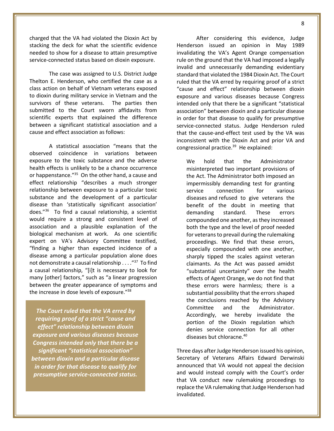charged that the VA had violated the Dioxin Act by stacking the deck for what the scientific evidence needed to show for a disease to attain presumptive service-connected status based on dioxin exposure.

The case was assigned to U.S. District Judge Thelton E. Henderson, who certified the case as a class action on behalf of Vietnam veterans exposed to dioxin during military service in Vietnam and the survivors of these veterans. The parties then submitted to the Court sworn affidavits from scientific experts that explained the difference between a significant statistical association and a cause and effect association as follows:

A statistical association "means that the observed coincidence in variations between exposure to the toxic substance and the adverse health effects is unlikely to be a chance occurrence or happenstance."<sup>35</sup> On the other hand, a cause and effect relationship "describes a much stronger relationship between exposure to a particular toxic substance and the development of a particular disease than 'statistically significant association' does."36 To find a causal relationship, a scientist would require a strong and consistent level of association and a plausible explanation of the biological mechanism at work. As one scientific expert on VA's Advisory Committee testified, "finding a higher than expected incidence of a disease among a particular population alone does not demonstrate a causal relationship  $\dots$ ."<sup>37</sup> To find a causal relationship, "[i]t is necessary to look for many [other] factors," such as "a linear progression between the greater appearance of symptoms and the increase in dose levels of exposure."38

*The Court ruled that the VA erred by requiring proof of a strict "cause and effect" relationship between dioxin exposure and various diseases because Congress intended only that there be a significant "statistical association" between dioxin and a particular disease in order for that disease to qualify for presumptive service-connected status.*

After considering this evidence, Judge Henderson issued an opinion in May 1989 invalidating the VA's Agent Orange compensation rule on the ground that the VA had imposed a legally invalid and unnecessarily demanding evidentiary standard that violated the 1984 Dioxin Act. The Court ruled that the VA erred by requiring proof of a strict "cause and effect" relationship between dioxin exposure and various diseases because Congress intended only that there be a significant "statistical association" between dioxin and a particular disease in order for that disease to qualify for presumptive service-connected status. Judge Henderson ruled that the cause-and-effect test used by the VA was inconsistent with the Dioxin Act and prior VA and congressional practice. $39$  He explained:

We hold that the Administrator misinterpreted two important provisions of the Act. The Administrator both imposed an impermissibly demanding test for granting service connection for various diseases and refused to give veterans the benefit of the doubt in meeting that demanding standard. These errors compounded one another, as they increased both the type and the level of proof needed for veterans to prevail during the rulemaking proceedings. We find that these errors, especially compounded with one another, sharply tipped the scales against veteran claimants. As the Act was passed amidst "substantial uncertainty" over the health effects of Agent Orange, we do not find that these errors were harmless; there is a substantial possibility that the errors shaped the conclusions reached by the Advisory Committee and the Administrator. Accordingly, we hereby invalidate the portion of the Dioxin regulation which denies service connection for all other diseases but chloracne.<sup>40</sup>

Three days after Judge Henderson issued his opinion, Secretary of Veterans Affairs Edward Derwinski announced that VA would not appeal the decision and would instead comply with the Court's order that VA conduct new rulemaking proceedings to replace the VA rulemaking that Judge Henderson had invalidated.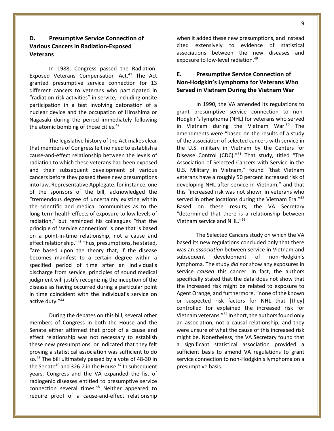### **D. Presumptive Service Connection of Various Cancers in Radiation-Exposed Veterans**

In 1988, Congress passed the Radiation-Exposed Veterans Compensation Act. $41$  The Act granted presumptive service connection for 13 different cancers to veterans who participated in "radiation-risk activities" in service, including onsite participation in a test involving detonation of a nuclear device and the occupation of Hiroshima or Nagasaki during the period immediately following the atomic bombing of those cities.<sup>42</sup>

The legislative history of the Act makes clear that members of Congress felt no need to establish a cause-and-effect relationship between the levels of radiation to which these veterans had been exposed and their subsequent development of various cancers before they passed these new presumptions into law. Representative Applegate, for instance, one of the sponsors of the bill, acknowledged the "tremendous degree of uncertainty existing within the scientific and medical communities as to the long-term health effects of exposure to low levels of radiation," but reminded his colleagues "that the principle of 'service connection' is one that is based on a point-in-time relationship, not a cause and effect relationship."43 Thus, presumptions, he stated, "are based upon the theory that, if the disease becomes manifest to a certain degree within a specified period of time after an individual's discharge from service, principles of sound medical judgment will justify recognizing the inception of the disease as having occurred during a particular point in time coincident with the individual's service on active duty."44

During the debates on this bill, several other members of Congress in both the House and the Senate either affirmed that proof of a cause and effect relationship was not necessary to establish these new presumptions, or indicated that they felt proving a statistical association was sufficient to do so.45 The bill ultimately passed by a vote of 48-30 in the Senate<sup>46</sup> and 326-2 in the House.<sup>47</sup> In subsequent years, Congress and the VA expanded the list of radiogenic diseases entitled to presumptive service connection several times.<sup>48</sup> Neither appeared to require proof of a cause-and-effect relationship

when it added these new presumptions, and instead cited extensively to evidence of statistical associations between the new diseases and exposure to low-level radiation.<sup>49</sup>

#### **E. Presumptive Service Connection of Non-Hodgkin's Lymphoma for Veterans Who Served in Vietnam During the Vietnam War**

In 1990, the VA amended its regulations to grant presumptive service connection to non-Hodgkin's lymphoma (NHL) for veterans who served in Vietnam during the Vietnam War.<sup>50</sup> The amendments were "based on the results of a study of the association of selected cancers with service in the U.S. military in Vietnam by the Centers for Disease Control (CDC)."<sup>51</sup> That study, titled "The Association of Selected Cancers with Service in the U.S. Military in Vietnam," found "that Vietnam veterans have a roughly 50 percent increased risk of developing NHL after service in Vietnam," and that this "increased risk was not shown in veterans who served in other locations during the Vietnam Era."<sup>52</sup> Based on these results, the VA Secretary "determined that there is a relationship between Vietnam service and NHL."53

The Selected Cancers study on which the VA based its new regulations concluded only that there was an *association* between service in Vietnam and subsequent development of non-Hodgkin's lymphoma. The study *did not* show any exposures in service *caused* this cancer. In fact, the authors specifically stated that the data does not show that the increased risk might be related to exposure to Agent Orange, and furthermore, "none of the known or suspected risk factors for NHL that [they] controlled for explained the increased risk for Vietnam veterans."54 In short, the authors found only an association, not a causal relationship, and they were unsure of what the cause of this increased risk might be. Nonetheless, the VA Secretary found that a significant statistical association provided a sufficient basis to amend VA regulations to grant service connection to non-Hodgkin's lymphoma on a presumptive basis.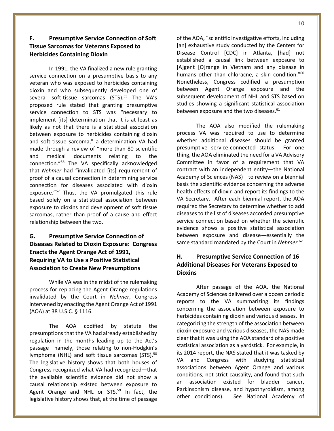### **F. Presumptive Service Connection of Soft Tissue Sarcomas for Veterans Exposed to Herbicides Containing Dioxin**

In 1991, the VA finalized a new rule granting service connection on a presumptive basis to any veteran who was exposed to herbicides containing dioxin and who subsequently developed one of several soft-tissue sarcomas (STS).<sup>55</sup> The VA's proposed rule stated that granting presumptive service connection to STS was "necessary to implement [its] determination that it is at least as likely as not that there is a statistical association between exposure to herbicides containing dioxin and soft-tissue sarcoma," a determination VA had made through a review of "more than 80 scientific and medical documents relating to the connection."56 The VA specifically acknowledged that *Nehmer* had "invalidated [its] requirement of proof of a causal connection in determining service connection for diseases associated with dioxin exposure."57 Thus, the VA promulgated this rule based solely on a statistical association between exposure to dioxins and development of soft tissue sarcomas, rather than proof of a cause and effect relationship between the two.

## **G. Presumptive Service Connection of Diseases Related to Dioxin Exposure: Congress Enacts the Agent Orange Act of 1991, Requiring VA to Use a Positive Statistical Association to Create New Presumptions**

While VA was in the midst of the rulemaking process for replacing the Agent Orange regulations invalidated by the Court in *Nehmer*, Congress intervened by enacting the Agent Orange Act of 1991 (AOA) at 38 U.S.C. § 1116.

The AOA codified by statute the presumptions that the VA had already established by regulation in the months leading up to the Act's passage—namely, those relating to non-Hodgkin's lymphoma (NHL) and soft tissue sarcomas (STS). $58$ The legislative history shows that both houses of Congress recognized what VA had recognized—that the available scientific evidence did not show a causal relationship existed between exposure to Agent Orange and NHL or  $STS^{59}$  In fact, the legislative history shows that, at the time of passage

of the AOA, "scientific investigative efforts, including [an] exhaustive study conducted by the Centers for Disease Control [CDC] in Atlanta, [had] not established a causal link between exposure to [A]gent [O]range in Vietnam and any disease in humans other than chloracne, a skin condition."<sup>60</sup> Nonetheless, Congress codified a presumption between Agent Orange exposure and the subsequent development of NHL and STS based on studies showing a significant statistical association between exposure and the two diseases.<sup>61</sup>

The AOA also modified the rulemaking process VA was required to use to determine whether additional diseases should be granted presumptive service-connected status. For one thing, the AOA eliminated the need for a VA Advisory Committee in favor of a requirement that VA contract with an independent entity—the National Academy of Sciences (NAS)—to review on a biennial basis the scientific evidence concerning the adverse health effects of dioxin and report its findings to the VA Secretary. After each biennial report, the AOA required the Secretary to determine whether to add diseases to the list of diseases accorded presumptive service connection based on whether the scientific evidence shows a positive statistical association between exposure and disease—essentially the same standard mandated by the Court in *Nehmer.*<sup>62</sup>

## **H. Presumptive Service Connection of 16 Additional Diseases For Veterans Exposed to Dioxins**

After passage of the AOA, the National Academy of Sciences delivered over a dozen periodic reports to the VA summarizing its findings concerning the association between exposure to herbicides containing dioxin and various diseases. In categorizing the strength of the association between dioxin exposure and various diseases, the NAS made clear that it was using the AOA standard of a positive statistical association as a yardstick. For example, in its 2014 report, the NAS stated that it was tasked by VA and Congress with studying statistical associations between Agent Orange and various conditions, not strict causality, and found that such an association existed for bladder cancer, Parkinsonism disease, and hypothyroidism, among other conditions). *See* National Academy of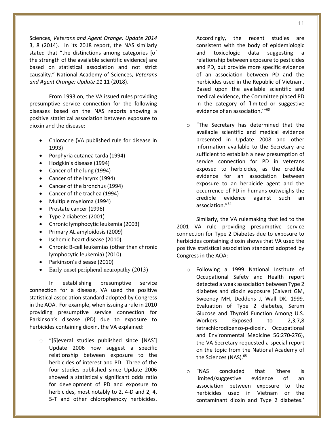Sciences, *Veterans and Agent Orange: Update 2014* 3, 8 (2014). In its 2018 report, the NAS similarly stated that "the distinctions among categories [of the strength of the available scientific evidence] are based on statistical association and not strict causality." National Academy of Sciences, *Veterans and Agent Orange: Update 11* 11 (2018).

From 1993 on, the VA issued rules providing presumptive service connection for the following diseases based on the NAS reports showing a positive statistical association between exposure to dioxin and the disease:

- Chloracne (VA published rule for disease in 1993)
- Porphyria cutanea tarda (1994)
- Hodgkin's disease (1994)
- Cancer of the lung (1994)
- Cancer of the larynx (1994)
- Cancer of the bronchus (1994)
- Cancer of the trachea (1994)
- Multiple myeloma (1994)
- Prostate cancer (1996)
- Type 2 diabetes (2001)
- Chronic lymphocytic leukemia (2003)
- Primary AL amyloidosis (2009)
- Ischemic heart disease (2010)
- Chronic B-cell leukemias (other than chronic lymphocytic leukemia) (2010)
- Parkinson's disease (2010)
- Early onset peripheral neuropathy (2013)

In establishing presumptive service connection for a disease, VA used the positive statistical association standard adopted by Congress in the AOA. For example, when issuing a rule in 2010 providing presumptive service connection for Parkinson's disease (PD) due to exposure to herbicides containing dioxin, the VA explained:

o "[S]everal studies published since [NAS'] Update 2006 now suggest a specific relationship between exposure to the herbicides of interest and PD. Three of the four studies published since Update 2006 showed a statistically significant odds ratio for development of PD and exposure to herbicides, most notably to 2, 4-D and 2, 4, 5-T and other chlorophenoxy herbicides.

Accordingly, the recent studies are consistent with the body of epidemiologic and toxicologic data suggesting a relationship between exposure to pesticides and PD, but provide more specific evidence of an association between PD and the herbicides used in the Republic of Vietnam. Based upon the available scientific and medical evidence, the Committee placed PD in the category of 'limited or suggestive evidence of an association.'"63

o "The Secretary has determined that the available scientific and medical evidence presented in Update 2008 and other information available to the Secretary are sufficient to establish a new presumption of service connection for PD in veterans exposed to herbicides, as the credible evidence for an association between exposure to an herbicide agent and the occurrence of PD in humans outweighs the credible evidence against such an association."64

Similarly, the VA rulemaking that led to the 2001 VA rule providing presumptive service connection for Type 2 Diabetes due to exposure to herbicides containing dioxin shows that VA used the positive statistical association standard adopted by Congress in the AOA:

- o Following a 1999 National Institute of Occupational Safety and Health report detected a weak association between Type 2 diabetes and dioxin exposure (Calvert GM, Sweeney MH, Deddens J, Wall DK. 1999. Evaluation of Type 2 diabetes, Serum Glucose and Thyroid Function Among U.S. Workers Exposed to 2,3,7,8 tetrachlorodibenzo-p-dioxin. Occupational and Environmental Medicine 56:270-276), the VA Secretary requested a special report on the topic from the National Academy of the Sciences (NAS).<sup>65</sup>
- o "NAS concluded that 'there is limited/suggestive evidence of an association between exposure to the herbicides used in Vietnam or the contaminant dioxin and Type 2 diabetes.'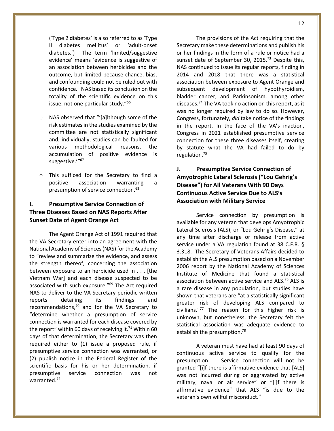('Type 2 diabetes' is also referred to as 'Type II diabetes mellitus' or 'adult-onset diabetes.') The term 'limited/suggestive evidence' means 'evidence is suggestive of an association between herbicides and the outcome, but limited because chance, bias, and confounding could not be ruled out with confidence.' NAS based its conclusion on the totality of the scientific evidence on this issue, not one particular study."66

- o NAS observed that "'[a]lthough some of the risk estimates in the studies examined by the committee are not statistically significant and, individually, studies can be faulted for various methodological reasons, the accumulation of positive evidence is suggestive.'"<sup>67</sup>
- o This sufficed for the Secretary to find a positive association warranting a presumption of service connection.<sup>68</sup>

### **I. Presumptive Service Connection of Three Diseases Based on NAS Reports After Sunset Date of Agent Orange Act**

The Agent Orange Act of 1991 required that the VA Secretary enter into an agreement with the National Academy of Sciences (NAS) for the Academy to "review and summarize the evidence, and assess the strength thereof, concerning the association between exposure to an herbicide used in . . . [the Vietnam War] and each disease suspected to be associated with such exposure."69 The Act required NAS to deliver to the VA Secretary periodic written reports detailing its findings and recommendations, $70$  and for the VA Secretary to "determine whether a presumption of service connection is warranted for each disease covered by the report" within 60 days of receiving it.<sup>71</sup> Within 60 days of that determination, the Secretary was then required either to (1) issue a proposed rule, if presumptive service connection was warranted, or (2) publish notice in the Federal Register of the scientific basis for his or her determination, if presumptive service connection was not warranted.<sup>72</sup>

The provisions of the Act requiring that the Secretary make these determinations and publish his or her findings in the form of a rule or notice had a sunset date of September 30, 2015. $^{73}$  Despite this, NAS continued to issue its regular reports, finding in 2014 and 2018 that there was a statistical association between exposure to Agent Orange and subsequent development of hypothyroidism, bladder cancer, and Parkinsonism, among other diseases.<sup>74</sup> The VA took no action on this report, as it was no longer required by law to do so. However, Congress, fortunately, *did* take notice of the findings in the report. In the face of the VA's inaction, Congress in 2021 established presumptive service connection for these three diseases itself, creating by statute what the VA had failed to do by regulation.75

## **J. Presumptive Service Connection of Amyotrophic Lateral Sclerosis ("Lou Gehrig's Disease") for All Veterans With 90 Days Continuous Active Service Due to ALS's Association with Military Service**

Service connection by presumption is available for any veteran that develops Amyotrophic Lateral Sclerosis (ALS), or "Lou Gehrig's Disease," at any time after discharge or release from active service under a VA regulation found at 38 C.F.R. § 3.318. The Secretary of Veterans Affairs decided to establish the ALS presumption based on a November 2006 report by the National Academy of Sciences Institute of Medicine that found a statistical association between active service and ALS.<sup>76</sup> ALS is a rare disease in any population, but studies have shown that veterans are "at a statistically significant greater risk of developing ALS compared to civilians."77 The reason for this higher risk is unknown, but nonetheless, the Secretary felt the statistical association was adequate evidence to establish the presumption.<sup>78</sup>

A veteran must have had at least 90 days of continuous active service to qualify for the presumption. Service connection will not be granted "[i]f there is affirmative evidence that [ALS] was not incurred during or aggravated by active military, naval or air service" or "[i]f there is affirmative evidence" that ALS "is due to the veteran's own willful misconduct."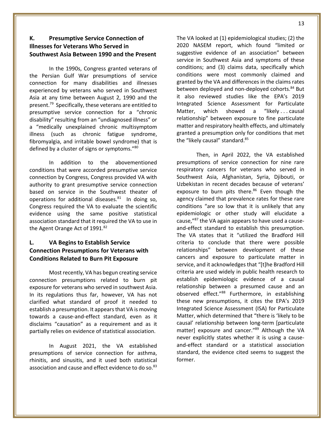## **K. Presumptive Service Connection of Illnesses for Veterans Who Served in Southwest Asia Between 1990 and the Present**

In the 1990s, Congress granted veterans of the Persian Gulf War presumptions of service connection for many disabilities and illnesses experienced by veterans who served in Southwest Asia at any time between August 2, 1990 and the present.<sup>79</sup> Specifically, these veterans are entitled to presumptive service connection for a "chronic disability" resulting from an "undiagnosed illness" or a "medically unexplained chronic multisymptom illness (such as chronic fatigue syndrome, fibromyalgia, and irritable bowel syndrome) that is defined by a cluster of signs or symptoms."80

In addition to the abovementioned conditions that were accorded presumptive service connection by Congress, Congress provided VA with authority to grant presumptive service connection based on service in the Southwest theater of operations for additional diseases. $81$  In doing so, Congress required the VA to evaluate the scientific evidence using the same positive statistical association standard that it required the VA to use in the Agent Orange Act of 1991.<sup>82</sup>

## **L. VA Begins to Establish Service Connection Presumptions for Veterans with Conditions Related to Burn Pit Exposure**

Most recently, VA has begun creating service connection presumptions related to burn pit exposure for veterans who served in southwest Asia. In its regulations thus far, however, VA has not clarified what standard of proof it needed to establish a presumption. It appears that VA is moving towards a cause-and-effect standard, even as it disclaims "causation" as a requirement and as it partially relies on evidence of statistical association.

In August 2021, the VA established presumptions of service connection for asthma, rhinitis, and sinusitis, and it used both statistical association and cause and effect evidence to do so.<sup>83</sup>

The VA looked at (1) epidemiological studies; (2) the 2020 NASEM report, which found "limited or suggestive evidence of an association" between service in Southwest Asia and symptoms of these conditions; and (3) claims data, specifically which conditions were most commonly claimed and granted by the VA and differences in the claims rates between deployed and non-deployed cohorts.<sup>84</sup> But it also reviewed studies like the EPA's 2019 Integrated Science Assessment for Particulate Matter, which showed a "likely ... causal relationship" between exposure to fine particulate matter and respiratory health effects, and ultimately granted a presumption only for conditions that met the "likely causal" standard.<sup>85</sup>

Then, in April 2022, the VA established presumptions of service connection for nine rare respiratory cancers for veterans who served in Southwest Asia, Afghanistan, Syria, Djibouti, or Uzbekistan in recent decades because of veterans' exposure to burn pits there.<sup>86</sup> Even though the agency claimed that prevalence rates for these rare conditions "are so low that it is unlikely that any epidemiologic or other study will elucidate a cause,"<sup>87</sup> the VA again appears to have used a causeand-effect standard to establish this presumption. The VA states that it "utilized the Bradford Hill criteria to conclude that there were possible relationships" between development of these cancers and exposure to particulate matter in service, and it acknowledges that "[t]he Bradford Hill criteria are used widely in public health research to establish epidemiologic evidence of a causal relationship between a presumed cause and an observed effect."88 Furthermore, in establishing these new presumptions, it cites the EPA's 2019 Integrated Science Assessment (ISA) for Particulate Matter, which determined that "there is 'likely to be causal' relationship between long-term [particulate matter] exposure and cancer."<sup>89</sup> Although the VA never explicitly states whether it is using a causeand-effect standard or a statistical association standard, the evidence cited seems to suggest the former.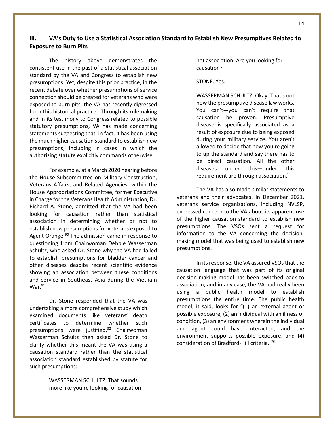#### **III. VA's Duty to Use a Statistical Association Standard to Establish New Presumptives Related to Exposure to Burn Pits**

The history above demonstrates the consistent use in the past of a statistical association standard by the VA and Congress to establish new presumptions. Yet, despite this prior practice, in the recent debate over whether presumptions of service connection should be created for veterans who were exposed to burn pits, the VA has recently digressed from this historical practice. Through its rulemaking and in its testimony to Congress related to possible statutory presumptions, VA has made concerning statements suggesting that, in fact, it has been using the much higher causation standard to establish new presumptions, including in cases in which the authorizing statute explicitly commands otherwise.

For example, at a March 2020 hearing before the House Subcommittee on Military Construction, Veterans Affairs, and Related Agencies, within the House Appropriations Committee, former Executive in Charge for the Veterans Health Administration, Dr. Richard A. Stone, admitted that the VA had been looking for causation rather than statistical association in determining whether or not to establish new presumptions for veterans exposed to Agent Orange.<sup>90</sup> The admission came in response to questioning from Chairwoman Debbie Wasserman Schultz, who asked Dr. Stone why the VA had failed to establish presumptions for bladder cancer and other diseases despite recent scientific evidence showing an association between these conditions and service in Southeast Asia during the Vietnam  $War.<sup>91</sup>$ 

Dr. Stone responded that the VA was undertaking a more comprehensive study which examined documents like veterans' death certificates to determine whether such presumptions were justified.92 Chairwoman Wasserman Schultz then asked Dr. Stone to clarify whether this meant the VA was using a causation standard rather than the statistical association standard established by statute for such presumptions:

> WASSERMAN SCHULTZ. That sounds more like you're looking for causation,

not association. Are you looking for causation?

STONE. Yes.

WASSERMAN SCHULTZ. Okay. That's not how the presumptive disease law works. You can't—you can't require that causation be proven. Presumptive disease is specifically associated as a result of exposure due to being exposed during your military service. You aren't allowed to decide that now you're going to up the standard and say there has to be direct causation. All the other diseases under this—under this requirement are through association.<sup>93</sup>

The VA has also made similar statements to veterans and their advocates. In December 2021, veterans service organizations, including NVLSP, expressed concern to the VA about its apparent use of the higher causation standard to establish new presumptions. The VSOs sent a request for information to the VA concerning the decisionmaking model that was being used to establish new presumptions.

In its response, the VA assured VSOs that the causation language that was part of its original decision-making model has been switched back to association, and in any case, the VA had really been using a public health model to establish presumptions the entire time. The public health model, it said, looks for "(1) an external agent or possible exposure, (2) an individual with an illness or condition, (3) an environment wherein the individual and agent could have interacted, and the environment supports possible exposure, and (4) consideration of Bradford-Hill criteria."94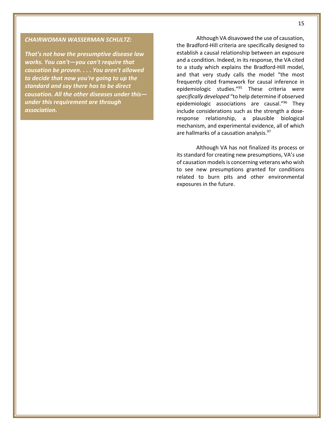#### *CHAIRWOMAN WASSERMAN SCHULTZ:*

*That's not how the presumptive disease law works. You can't—you can't require that causation be proven. . . . You aren't allowed to decide that now you're going to up the standard and say there has to be direct causation. All the other diseases under this under this requirement are through association.*

Although VA disavowed the use of causation, the Bradford-Hill criteria are specifically designed to establish a causal relationship between an exposure and a condition. Indeed, in its response, the VA cited to a study which explains the Bradford-Hill model, and that very study calls the model "the most frequently cited framework for causal inference in epidemiologic studies."<sup>95</sup> These criteria were *specifically developed* "to help determine if observed epidemiologic associations are causal."96 They include considerations such as the strength a doseresponse relationship, a plausible biological mechanism, and experimental evidence, all of which are hallmarks of a causation analysis.<sup>97</sup>

Although VA has not finalized its process or its standard for creating new presumptions, VA's use of causation models is concerning veterans who wish to see new presumptions granted for conditions related to burn pits and other environmental exposures in the future.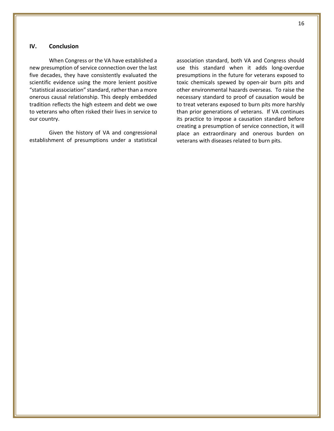#### **IV. Conclusion**

When Congress or the VA have established a new presumption of service connection over the last five decades, they have consistently evaluated the scientific evidence using the more lenient positive "statistical association" standard, rather than a more onerous causal relationship. This deeply embedded tradition reflects the high esteem and debt we owe to veterans who often risked their lives in service to our country.

Given the history of VA and congressional establishment of presumptions under a statistical association standard, both VA and Congress should use this standard when it adds long-overdue presumptions in the future for veterans exposed to toxic chemicals spewed by open-air burn pits and other environmental hazards overseas. To raise the necessary standard to proof of causation would be to treat veterans exposed to burn pits more harshly than prior generations of veterans. If VA continues its practice to impose a causation standard before creating a presumption of service connection, it will place an extraordinary and onerous burden on veterans with diseases related to burn pits.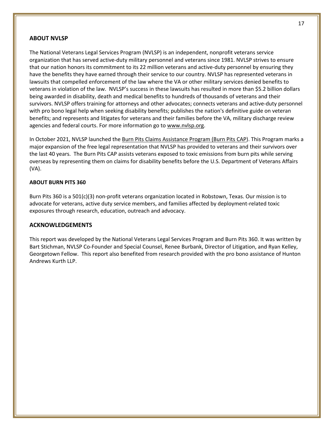#### **ABOUT NVLSP**

The National Veterans Legal Services Program (NVLSP) is an independent, nonprofit veterans service organization that has served active-duty military personnel and veterans since 1981. NVLSP strives to ensure that our nation honors its commitment to its 22 million veterans and active-duty personnel by ensuring they have the benefits they have earned through their service to our country. NVLSP has represented veterans in lawsuits that compelled enforcement of the law where the VA or other military services denied benefits to veterans in violation of the law. NVLSP's success in these lawsuits has resulted in more than \$5.2 billion dollars being awarded in disability, death and medical benefits to hundreds of thousands of veterans and their survivors. NVLSP offers training for attorneys and other advocates; connects veterans and active-duty personnel with pro bono legal help when seeking disability benefits; publishes the nation's definitive guide on veteran benefits; and represents and litigates for veterans and their families before the VA, military discharge review agencies and federal courts. For more information go to www.nvlsp.org.

In October 2021, NVLSP launched the Burn Pits Claims Assistance Program (Burn Pits CAP). This Program marks a major expansion of the free legal representation that NVLSP has provided to veterans and their survivors over the last 40 years. The Burn Pits CAP assists veterans exposed to toxic emissions from burn pits while serving overseas by representing them on claims for disability benefits before the U.S. Department of Veterans Affairs (VA).

#### **ABOUT BURN PITS 360**

Burn Pits 360 is a 501(c)(3) non-profit veterans organization located in Robstown, Texas. Our mission is to advocate for veterans, active duty service members, and families affected by deployment-related toxic exposures through research, education, outreach and advocacy.

#### **ACKNOWLEDGEMENTS**

This report was developed by the National Veterans Legal Services Program and Burn Pits 360. It was written by Bart Stichman, NVLSP Co-Founder and Special Counsel, Renee Burbank, Director of Litigation, and Ryan Kelley, Georgetown Fellow. This report also benefited from research provided with the pro bono assistance of Hunton Andrews Kurth LLP.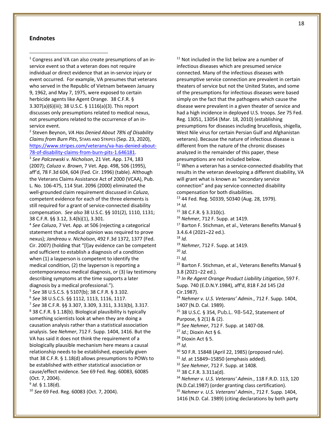#### **Endnotes**

<sup>1</sup> Congress and VA can also create presumptions of an inservice event so that a veteran does not require individual or direct evidence that an in-service injury or event occurred. For example, VA presumes that veterans who served in the Republic of Vietnam between January 9, 1962, and May 7, 1975, were exposed to certain herbicide agents like Agent Orange. 38 C.F.R. § 3.307(a)(6)(iii); 38 U.S.C. § 1116(a)(3). This report discusses only presumptions related to medical nexus, not presumptions related to the occurrence of an inservice event.

<sup>2</sup> Steven Beynon, *VA Has Denied About 78% of Disability Claims from Burn Pits*, STARS AND STRIPES (Sep. 23, 2020), https://www.stripes.com/veterans/va-has-denied-about-78-of-disability-claims-from-burn-pits-1.646181.

<sup>3</sup> *See Palczewski v. Nicholson*, 21 Vet. App. 174, 183 (2007); *Caluza v. Brown*, 7 Vet. App. 498, 506 (1995), aff'd, 78 F.3d 604, 604 (Fed. Cir. 1996) (table). Although the Veterans Claims Assistance Act of 2000 (VCAA), Pub. L. No. 106-475, 114 Stat. 2096 (2000) eliminated the well-grounded claim requirement discussed in *Caluza*, competent evidence for each of the three elements is still required for a grant of service-connected disability compensation. *See also* 38 U.S.C. §§ 101(2), 1110, 1131; 38 C.F.R. §§ 3.12, 3.4(b)(1), 3.301.

<sup>4</sup> *See Caluza*, 7 Vet. App. at 506 (rejecting a categorical statement that a medical opinion was required to prove nexus); *Jandreau v. Nicholson*, 492 F.3d 1372, 1377 (Fed. Cir. 2007) (holding that "[l]ay evidence can be competent and sufficient to establish a diagnosis of a condition when (1) a layperson is competent to identify the medical condition, (2) the layperson is reporting a contemporaneous medical diagnosis, or (3) lay testimony describing symptoms at the time supports a later diagnosis by a medical professional.").

<sup>5</sup> *See* 38 U.S.C.S. § 5107(b); 38 C.F.R. § 3.102.

<sup>6</sup> *See* 38 U.S.C.S. §§ 1112, 1113, 1116, 1117.

<sup>7</sup> *See* 38 C.F.R. §§ 3.307, 3.309, 3.311, 3.313(b), 3.317. <sup>8</sup> 38 C.F.R. § 1.18(b). Biological plausibility is typically something scientists look at when they are doing a causation analysis rather than a statistical association analysis. See *Nehmer*, 712 F. Supp. 1404, 1416. But the VA has said it does not think the requirement of a biologically plausible mechanism here means a causal relationship needs to be established, especially given that 38 C.F.R. § 1.18(d) allows presumptions to POWs to be established with either statistical association or cause/effect evidence. See 69 Fed. Reg. 60083, 60085 (Oct. 7, 2004).

<sup>9</sup> *Id.* § 1.18(d).

<sup>10</sup> *See* 69 Fed. Reg. 60083 (Oct. 7, 2004).

 $11$  Not included in the list below are a number of infectious diseases which are presumed service connected. Many of the infectious diseases with presumptive service connection are prevalent in certain theaters of service but not the United States, and some of the presumptions for infectious diseases were based simply on the fact that the pathogens which cause the disease were prevalent in a given theater of service and had a high incidence in deployed U.S. troops. *See* 75 Fed. Reg. 13051, 13054 (Mar. 18, 2010) (establishing presumptions for diseases including brucellosis, shigella, West Nile virus for certain Persian Gulf and Afghanistan veterans). Because the nature of infectious disease is different from the nature of the chronic diseases analyzed in the remainder of this paper, these presumptions are not included below.

<sup>12</sup> When a veteran has a service-connected disability that results in the veteran developing a different disability, VA will grant what is known as "secondary service connection" and pay service-connected disability compensation for both disabilities.

13 44 Fed. Reg. 50339, 50340 (Aug. 28, 1979). <sup>14</sup> *Id.*

<sup>15</sup> 38 C.F.R. § 3.310(c).

<sup>16</sup> *Nehmer*, 712 F. Supp. at 1419.

 $17$  Barton F. Stichman, et al., Veterans Benefits Manual § 3.4.6.4 (2021–22 ed.).

<sup>19</sup> *Nehmer*, 712 F. Supp. at 1419.

 $^{21}$  *Id.* 

 $^{22}$  Barton F. Stichman, et al., Veterans Benefits Manual § 3.8 (2021–22 ed.). 23 *In Re Agent Orange Product Liability Litigation*, 597 F.

Supp. 740 (E.D.N.Y.1984), aff'd, 818 F.2d 145 (2d Cir.1987).

<sup>24</sup> *Nehmer v. U.S. Veterans' Admin*., 712 F. Supp. 1404,

1407 (N.D. Cal. 1989).

<sup>25</sup> 38 U.S.C. § 354, Pub.L. 98-542, Statement of Purpose, § 2(1) & (2).

<sup>26</sup> *See Nehmer*, 712 F. Supp. at 1407-08.

<sup>27</sup> *Id*.; Dioxin Act § 6.

<sup>28</sup> Dioxin Act § 5.

 $29$  *Id*.

<sup>30</sup> 50 F.R. 15848 (April 22, 1985) (proposed rule).

<sup>31</sup> *Id*. at 15849–15850 (emphasis added).

<sup>32</sup> *See Nehmer*, 712 F. Supp. at 1408.

<sup>33</sup> 38 C.F.R. 3.311a(d).

<sup>34</sup> *Nehmer v. U.S. Veterans' Admin.*, 118 F.R.D. 113, 120 (N.D.Cal.1987) (order granting class certification).

<sup>35</sup> *Nehmer v. U.S. Veterans' Admin*., 712 F. Supp. 1404,

1416 (N.D. Cal. 1989) (citing declarations by both party

 $18$  *Id.* 

<sup>20</sup> *Id.*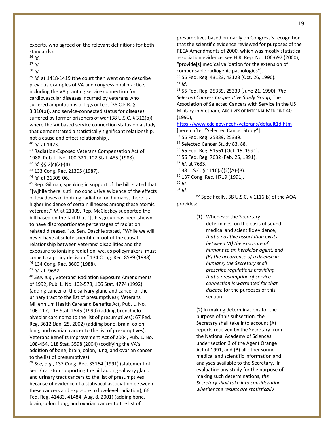experts, who agreed on the relevant definitions for both standards).

- <sup>36</sup> *Id*.
- <sup>37</sup> *Id*.

<sup>38</sup> *Id*.

<sup>39</sup> *Id.* at 1418-1419 (the court then went on to describe previous examples of VA and congressional practice, including the VA granting service connection for cardiovascular diseases incurred by veterans who suffered amputations of legs or feet (38 C.F.R. § 3.310(b)), and service-connected status for diseases suffered by former prisoners of war (38 U.S.C. § 312(b)), where the VA based service connection status on a study that demonstrated a statistically significant relationship, not a cause and effect relationship).

<sup>40</sup> *Id.* at 1423.

<sup>41</sup> Radiation-Exposed Veterans Compensation Act of 1988, Pub. L. No. 100-321, 102 Stat. 485 (1988). <sup>42</sup> *Id.* §§ 2(c)(2)-(4).

<sup>43</sup> 133 Cong. Rec. 21305 (1987).

<sup>44</sup> *Id.* at 21305-06.

<sup>45</sup> Rep. Gilman, speaking in support of the bill, stated that "[w]hile there is still no conclusive evidence of the effects of low doses of ionizing radiation on humans, there is a higher incidence of certain illnesses among these atomic veterans." *Id.* at 21309. Rep. McCloskey supported the bill based on the fact that "[t]his group has been shown to have disproportionate percentages of radiation related diseases." *Id.* Sen. Daschle stated, "While we will never have absolute scientific proof of the causal relationship between veterans' disabilities and the exposure to ionizing radiation, we, as policymakers, must come to a policy decision." 134 Cong. Rec. 8589 (1988). <sup>46</sup> 134 Cong. Rec. 8600 (1988).

<sup>47</sup> *Id.* at. 9632.

<sup>48</sup> *See, e.g.*, Veterans' Radiation Exposure Amendments of 1992, Pub. L. No. 102-578, 106 Stat. 4774 (1992) (adding cancer of the salivary gland and cancer of the urinary tract to the list of presumptives); Veterans Millennium Health Care and Benefits Act, Pub. L. No. 106-117, 113 Stat. 1545 (1999) (adding bronchioloalveolar carcinoma to the list of presumptives); 67 Fed. Reg. 3612 (Jan. 25, 2002) (adding bone, brain, colon, lung, and ovarian cancer to the list of presumptives); Veterans Benefits Improvement Act of 2004, Pub. L. No. 108-454, 118 Stat. 3598 (2004) (codifying the VA's addition of bone, brain, colon, lung, and ovarian cancer to the list of presumptives).

<sup>49</sup> *See, e.g.*, 137 Cong. Rec. 33164 (1991) (statement of Sen. Cranston supporting the bill adding salivary gland and urinary tract cancers to the list of presumptives because of evidence of a statistical association between these cancers and exposure to low-level radiation); 66 Fed. Reg. 41483, 41484 (Aug. 8, 2001) (adding bone, brain, colon, lung, and ovarian cancer to the list of

presumptives based primarily on Congress's recognition that the scientific evidence reviewed for purposes of the RECA Amendments of 2000, which was mostly statistical association evidence, *see* H.R. Rep. No. 106-697 (2000), "provide[s] medical validation for the extension of compensable radiogenic pathologies"). <sup>50</sup> 55 Fed. Reg. 43123, 43123 (Oct. 26, 1990). <sup>51</sup> *Id.*

<sup>52</sup> 55 Fed. Reg. 25339, 25339 (June 21, 1990); *The Selected Cancers Cooperative Study Group*, The Association of Selected Cancers with Service in the US Military in Vietnam, ARCHIVES OF INTERNAL MEDICINE 40 (1990),

https://www.cdc.gov/nceh/veterans/default1d.htm [hereinafter "Selected Cancer Study"]. <sup>53</sup> 55 Fed. Reg. 25339, 25339. <sup>54</sup> Selected Cancer Study 83, 88. <sup>55</sup> 56 Fed. Reg. 51561 (Oct. 15, 1991). <sup>56</sup> 56 Fed. Reg. 7632 (Feb. 25, 1991). <sup>57</sup> *Id.* at 7633. 58 38 U.S.C. § 1116(a)(2)(A)-(B).<br><sup>59</sup> 137 Cong. Rec. H719 (1991). <sup>60</sup> *Id.* <sup>61</sup> *Id.*

<sup>62</sup> Specifically, 38 U.S.C. § 1116(b) of the AOA provides:

> (1) Whenever the Secretary determines, on the basis of sound medical and scientific evidence, *that a positive association exists between (A) the exposure of humans to an herbicide agent, and (B) the occurrence of a disease in humans, the Secretary shall prescribe regulations providing that a presumption of service connection is warranted for that disease* for the purposes of this section.

> (2) In making determinations for the purpose of this subsection, the Secretary shall take into account (A) reports received by the Secretary from the National Academy of Sciences under section 3 of the Agent Orange Act of 1991, and (B) all other sound medical and scientific information and analyses available to the Secretary. In evaluating any study for the purpose of making such determinations, *the Secretary shall take into consideration whether the results are statistically*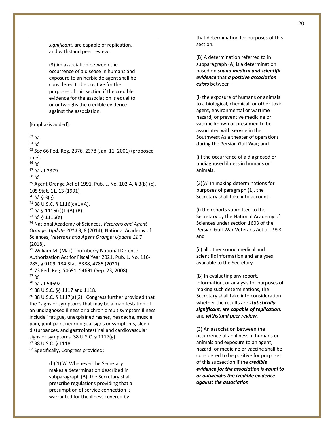*significant*, are capable of replication, and withstand peer review.

(3) An association between the occurrence of a disease in humans and exposure to an herbicide agent shall be considered to be positive for the purposes of this section if the credible evidence for the association is equal to or outweighs the credible evidence against the association.

[Emphasis added].

<sup>63</sup> *Id.* <sup>64</sup> *Id.* <sup>65</sup> *See* 66 Fed. Reg. 2376, 2378 (Jan. 11, 2001) (proposed rule). <sup>66</sup> *Id.* <sup>67</sup> *Id.* at 2379. <sup>68</sup> *Id.*  $69$  Agent Orange Act of 1991, Pub. L. No. 102-4, § 3(b)-(c), 105 Stat. 11, 13 (1991) <sup>70</sup> *Id.* § 3(g).  $71$  38 U.S.C. § 1116(c)(1)(A). <sup>72</sup> *Id.* § 1116(c)(1)(A)-(B). <sup>73</sup> *Id.* § 1116(e) <sup>74</sup> National Academy of Sciences, *Veterans and Agent Orange: Update 2014* 3, 8 (2014); National Academy of Sciences, *Veterans and Agent Orange: Update 11* 7 (2018). <sup>75</sup> William M. (Mac) Thornberry National Defense Authorization Act for Fiscal Year 2021, Pub. L. No. 116- 283, § 9109, 134 Stat. 3388, 4785 (2021). <sup>76</sup> 73 Fed. Reg. 54691, 54691 (Sep. 23, 2008). <sup>77</sup> *Id.* <sup>78</sup> *Id.* at 54692. <sup>79</sup> 38 U.S.C. §§ 1117 and 1118.<br><sup>80</sup> 38 U.S.C. § 1117(a)(2). Congress further provided that the "signs or symptoms that may be a manifestation of an undiagnosed illness or a chronic multisymptom illness include" fatigue, unexplained rashes, headache, muscle pain, joint pain, neurological signs or symptoms, sleep disturbances, and gastrointestinal and cardiovascular signs or symptoms. 38 U.S.C. § 1117(g).<br><sup>81</sup> 38 U.S.C. § 1118. 82 Specifically, Congress provided:

> (b)(1)(A) Whenever the Secretary makes a determination described in subparagraph (B), the Secretary shall prescribe regulations providing that a presumption of service connection is warranted for the illness covered by

that determination for purposes of this section.

(B) A determination referred to in subparagraph (A) is a determination based on *sound medical and scientific evidence* that *a positive association exists* between–

(i) the exposure of humans or animals to a biological, chemical, or other toxic agent, environmental or wartime hazard, or preventive medicine or vaccine known or presumed to be associated with service in the Southwest Asia theater of operations during the Persian Gulf War; and

(ii) the occurrence of a diagnosed or undiagnosed illness in humans or animals.

(2)(A) In making determinations for purposes of paragraph (1), the Secretary shall take into account–

(i) the reports submitted to the Secretary by the National Academy of Sciences under section 1603 of the Persian Gulf War Veterans Act of 1998; and

(ii) all other sound medical and scientific information and analyses available to the Secretary.

(B) In evaluating any report, information, or analysis for purposes of making such determinations, the Secretary shall take into consideration whether the results are *statistically significant*, are *capable of replication*, and *withstand peer review*.

(3) An association between the occurrence of an illness in humans or animals and exposure to an agent, hazard, or medicine or vaccine shall be considered to be positive for purposes of this subsection if the *credible evidence for the association is equal to or outweighs the credible evidence against the association*